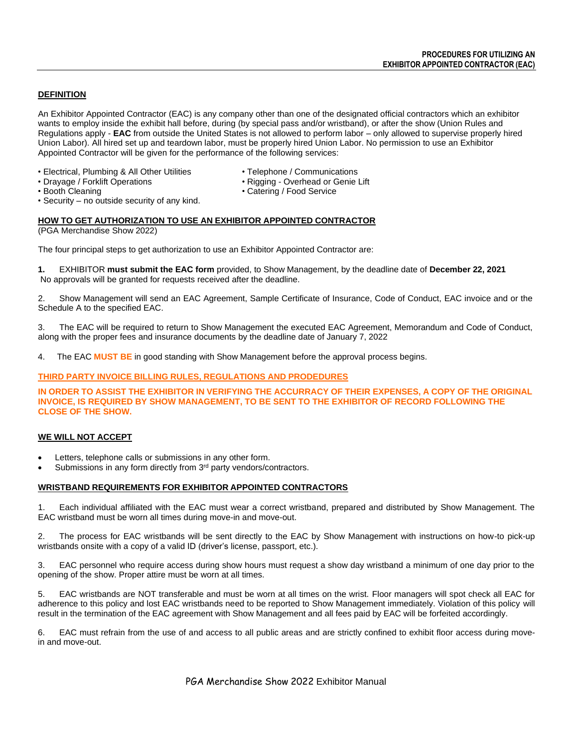## **DEFINITION**

An Exhibitor Appointed Contractor (EAC) is any company other than one of the designated official contractors which an exhibitor wants to employ inside the exhibit hall before, during (by special pass and/or wristband), or after the show (Union Rules and Regulations apply - **EAC** from outside the United States is not allowed to perform labor – only allowed to supervise properly hired Union Labor). All hired set up and teardown labor, must be properly hired Union Labor. No permission to use an Exhibitor Appointed Contractor will be given for the performance of the following services:

- Electrical, Plumbing & All Other Utilities Telephone / Communications
- Drayage / Forklift Operations Rigging Overhead or Genie Lift
- -

- 
- Security no outside security of any kind.

# • Booth Cleaning • Catering / Food Service

# **HOW TO GET AUTHORIZATION TO USE AN EXHIBITOR APPOINTED CONTRACTOR**

(PGA Merchandise Show 2022)

The four principal steps to get authorization to use an Exhibitor Appointed Contractor are:

**1.** EXHIBITOR **must submit the EAC form** provided, to Show Management, by the deadline date of **December 22, 2021** No approvals will be granted for requests received after the deadline.

2. Show Management will send an EAC Agreement, Sample Certificate of Insurance, Code of Conduct, EAC invoice and or the Schedule A to the specified EAC.

3. The EAC will be required to return to Show Management the executed EAC Agreement, Memorandum and Code of Conduct, along with the proper fees and insurance documents by the deadline date of January 7, 2022

4. The EAC **MUST BE** in good standing with Show Management before the approval process begins.

## **THIRD PARTY INVOICE BILLING RULES, REGULATIONS AND PRODEDURES**

IN ORDER TO ASSIST THE EXHIBITOR IN VERIFYING THE ACCURRACY OF THEIR EXPENSES. A COPY OF THE ORIGINAL **INVOICE, IS REQUIRED BY SHOW MANAGEMENT, TO BE SENT TO THE EXHIBITOR OF RECORD FOLLOWING THE CLOSE OF THE SHOW.**

# **WE WILL NOT ACCEPT**

- Letters, telephone calls or submissions in any other form.
- Submissions in any form directly from 3<sup>rd</sup> party vendors/contractors.

### **WRISTBAND REQUIREMENTS FOR EXHIBITOR APPOINTED CONTRACTORS**

1. Each individual affiliated with the EAC must wear a correct wristband, prepared and distributed by Show Management. The EAC wristband must be worn all times during move-in and move-out.

2. The process for EAC wristbands will be sent directly to the EAC by Show Management with instructions on how-to pick-up wristbands onsite with a copy of a valid ID (driver's license, passport, etc.).

3. EAC personnel who require access during show hours must request a show day wristband a minimum of one day prior to the opening of the show. Proper attire must be worn at all times.

5. EAC wristbands are NOT transferable and must be worn at all times on the wrist. Floor managers will spot check all EAC for adherence to this policy and lost EAC wristbands need to be reported to Show Management immediately. Violation of this policy will result in the termination of the EAC agreement with Show Management and all fees paid by EAC will be forfeited accordingly.

6. EAC must refrain from the use of and access to all public areas and are strictly confined to exhibit floor access during movein and move-out.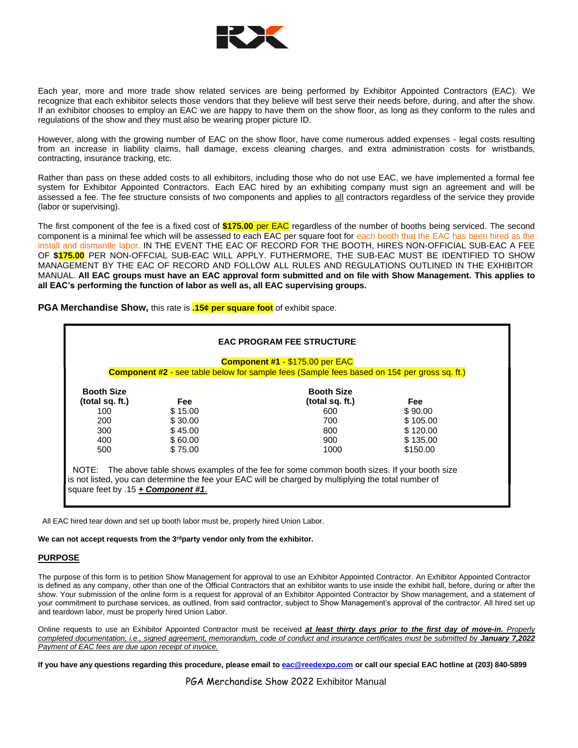

Each year, more and more trade show related services are being performed by Exhibitor Appointed Contractors (EAC). We recognize that each exhibitor selects those vendors that they believe will best serve their needs before, during, and after the show. If an exhibitor chooses to employ an EAC we are happy to have them on the show floor, as long as they conform to the rules and regulations of the show and they must also be wearing proper picture ID.

However, along with the growing number of EAC on the show floor, have come numerous added expenses - legal costs resulting from an increase in liability claims, hall damage, excess cleaning charges, and extra administration costs for wristbands, contracting, insurance tracking, etc.

Rather than pass on these added costs to all exhibitors, including those who do not use EAC, we have implemented a formal fee system for Exhibitor Appointed Contractors. Each EAC hired by an exhibiting company must sign an agreement and will be assessed a fee. The fee structure consists of two components and applies to all contractors regardless of the service they provide (labor or supervising).

The first component of the fee is a fixed cost of **\$175.00** per EAC regardless of the number of booths being serviced. The second component is a minimal fee which will be assessed to each EAC per square foot for each booth that the EAC has been hired as the install and dismantle labor. IN THE EVENT THE EAC OF RECORD FOR THE BOOTH, HIRES NON-OFFICIAL SUB-EAC A FEE OF **\$175.00** PER NON-OFFCIAL SUB-EAC WILL APPLY. FUTHERMORE, THE SUB-EAC MUST BE IDENTIFIED TO SHOW MANAGEMENT BY THE EAC OF RECORD AND FOLLOW ALL RULES AND REGULATIONS OUTLINED IN THE EXHIBITOR MANUAL. **All EAC groups must have an EAC approval form submitted and on file with Show Management. This applies to all EAC's performing the function of labor as well as, all EAC supervising groups.**

**PGA Merchandise Show,** this rate is **.15¢ per square foot** of exhibit space.

| <b>Booth Size</b> | <b>Booth Size</b> |                 |            |
|-------------------|-------------------|-----------------|------------|
| (total sq. ft.)   | <b>Fee</b>        | (total sq. ft.) | <b>Fee</b> |
| 100               | \$15.00           | 600             | \$90.00    |
| 200               | \$30.00           | 700             | \$105.00   |
| 300               | \$45.00           | 800             | \$120.00   |
| 400               | \$60.00           | 900             | \$135.00   |
| 500               | \$75.00           | 1000            | \$150.00   |

All EAC hired tear down and set up booth labor must be, properly hired Union Labor.

#### **We can not accept requests from the 3rdparty vendor only from the exhibitor.**

### **PURPOSE**

The purpose of this form is to petition Show Management for approval to use an Exhibitor Appointed Contractor. An Exhibitor Appointed Contractor is defined as any company, other than one of the Official Contractors that an exhibitor wants to use inside the exhibit hall, before, during or after the show. Your submission of the online form is a request for approval of an Exhibitor Appointed Contractor by Show management, and a statement of your commitment to purchase services, as outlined, from said contractor, subject to Show Management's approval of the contractor. All hired set up and teardown labor, must be properly hired Union Labor.

Online requests to use an Exhibitor Appointed Contractor must be received *at least thirty days prior to the first day of move-in. Properly* completed documentation, i.e., signed agreement, memorandum, code of conduct and insurance certificates must be submitted by **January 7,2022** *Payment of EAC fees are due upon receipt of invoice.*

If you have any questions regarding this procedure, please email to [eac@reedexpo.com](mailto:eac@reedexpo.com) or call our special EAC hotline at (203) 840-5899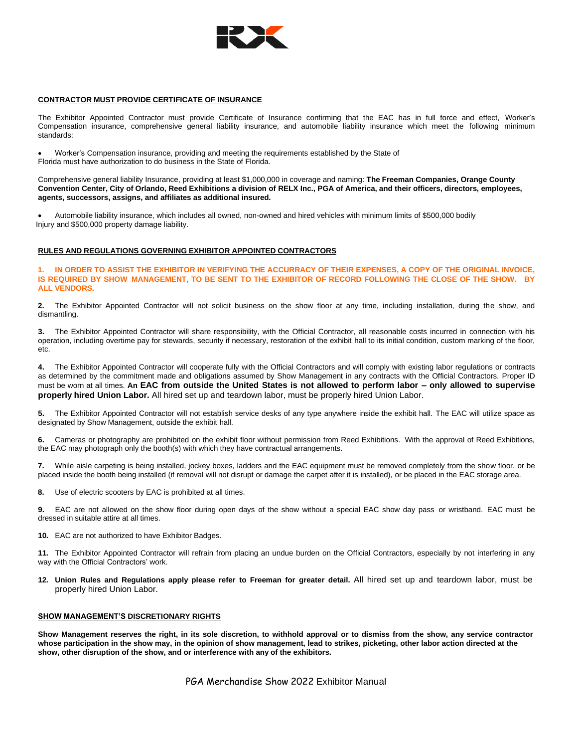

#### **CONTRACTOR MUST PROVIDE CERTIFICATE OF INSURANCE**

The Exhibitor Appointed Contractor must provide Certificate of Insurance confirming that the EAC has in full force and effect, Worker's Compensation insurance, comprehensive general liability insurance, and automobile liability insurance which meet the following minimum standards:

• Worker's Compensation insurance, providing and meeting the requirements established by the State of Florida must have authorization to do business in the State of Florida.

Comprehensive general liability Insurance, providing at least \$1,000,000 in coverage and naming: **The Freeman Companies, Orange County Convention Center, City of Orlando, Reed Exhibitions a division of RELX Inc., PGA of America, and their officers, directors, employees, agents, successors, assigns, and affiliates as additional insured.**

• Automobile liability insurance, which includes all owned, non-owned and hired vehicles with minimum limits of \$500,000 bodily Injury and \$500,000 property damage liability.

#### **RULES AND REGULATIONS GOVERNING EXHIBITOR APPOINTED CONTRACTORS**

**1. IN ORDER TO ASSIST THE EXHIBITOR IN VERIFYING THE ACCURRACY OF THEIR EXPENSES, A COPY OF THE ORIGINAL INVOICE, IS REQUIRED BY SHOW MANAGEMENT, TO BE SENT TO THE EXHIBITOR OF RECORD FOLLOWING THE CLOSE OF THE SHOW. BY ALL VENDORS.**

**2.** The Exhibitor Appointed Contractor will not solicit business on the show floor at any time, including installation, during the show, and dismantling.

**3.** The Exhibitor Appointed Contractor will share responsibility, with the Official Contractor, all reasonable costs incurred in connection with his operation, including overtime pay for stewards, security if necessary, restoration of the exhibit hall to its initial condition, custom marking of the floor, etc.

**4.** The Exhibitor Appointed Contractor will cooperate fully with the Official Contractors and will comply with existing labor regulations or contracts as determined by the commitment made and obligations assumed by Show Management in any contracts with the Official Contractors. Proper ID must be worn at all times. **An EAC from outside the United States is not allowed to perform labor – only allowed to supervise properly hired Union Labor.** All hired set up and teardown labor, must be properly hired Union Labor.

**5.** The Exhibitor Appointed Contractor will not establish service desks of any type anywhere inside the exhibit hall. The EAC will utilize space as designated by Show Management, outside the exhibit hall.

**6.** Cameras or photography are prohibited on the exhibit floor without permission from Reed Exhibitions. With the approval of Reed Exhibitions, the EAC may photograph only the booth(s) with which they have contractual arrangements.

**7.** While aisle carpeting is being installed, jockey boxes, ladders and the EAC equipment must be removed completely from the show floor, or be placed inside the booth being installed (if removal will not disrupt or damage the carpet after it is installed), or be placed in the EAC storage area.

**8.** Use of electric scooters by EAC is prohibited at all times.

**9.** EAC are not allowed on the show floor during open days of the show without a special EAC show day pass or wristband. EAC must be dressed in suitable attire at all times.

**10.** EAC are not authorized to have Exhibitor Badges.

**11.** The Exhibitor Appointed Contractor will refrain from placing an undue burden on the Official Contractors, especially by not interfering in any way with the Official Contractors' work.

**12. Union Rules and Regulations apply please refer to Freeman for greater detail.** All hired set up and teardown labor, must be properly hired Union Labor.

#### **SHOW MANAGEMENT'S DISCRETIONARY RIGHTS**

Show Management reserves the right, in its sole discretion, to withhold approval or to dismiss from the show, any service contractor whose participation in the show may, in the opinion of show management, lead to strikes, picketing, other labor action directed at the **show, other disruption of the show, and or interference with any of the exhibitors.**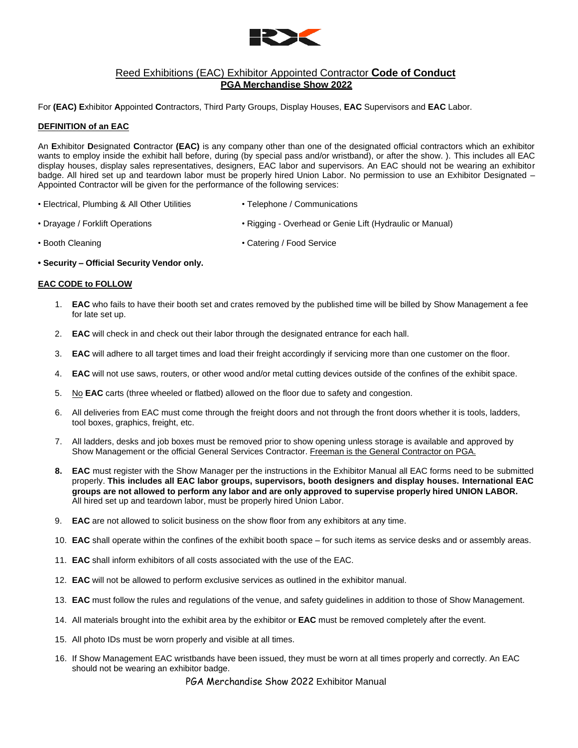

# Reed Exhibitions (EAC) Exhibitor Appointed Contractor **Code of Conduct PGA Merchandise Show 2022**

For **(EAC) E**xhibitor **A**ppointed **C**ontractors, Third Party Groups, Display Houses, **EAC** Supervisors and **EAC** Labor.

### **DEFINITION of an EAC**

An **E**xhibitor **D**esignated **C**ontractor **(EAC)** is any company other than one of the designated official contractors which an exhibitor wants to employ inside the exhibit hall before, during (by special pass and/or wristband), or after the show. ). This includes all EAC display houses, display sales representatives, designers, EAC labor and supervisors. An EAC should not be wearing an exhibitor badge. All hired set up and teardown labor must be properly hired Union Labor. No permission to use an Exhibitor Designated – Appointed Contractor will be given for the performance of the following services:

- Electrical, Plumbing & All Other Utilities Telephone / Communications
- Drayage / Forklift Operations Rigging Overhead or Genie Lift (Hydraulic or Manual)
- 
- Booth Cleaning  **Catering / Food Service**
- **• Security – Official Security Vendor only.**

### **EAC CODE to FOLLOW**

- 1. **EAC** who fails to have their booth set and crates removed by the published time will be billed by Show Management a fee for late set up.
- 2. **EAC** will check in and check out their labor through the designated entrance for each hall.
- 3. **EAC** will adhere to all target times and load their freight accordingly if servicing more than one customer on the floor.
- 4. **EAC** will not use saws, routers, or other wood and/or metal cutting devices outside of the confines of the exhibit space.
- 5. No **EAC** carts (three wheeled or flatbed) allowed on the floor due to safety and congestion.
- 6. All deliveries from EAC must come through the freight doors and not through the front doors whether it is tools, ladders, tool boxes, graphics, freight, etc.
- 7. All ladders, desks and job boxes must be removed prior to show opening unless storage is available and approved by Show Management or the official General Services Contractor. Freeman is the General Contractor on PGA.
- **8. EAC** must register with the Show Manager per the instructions in the Exhibitor Manual all EAC forms need to be submitted properly. **This includes all EAC labor groups, supervisors, booth designers and display houses. International EAC groups are not allowed to perform any labor and are only approved to supervise properly hired UNION LABOR.** All hired set up and teardown labor, must be properly hired Union Labor.
- 9. **EAC** are not allowed to solicit business on the show floor from any exhibitors at any time.
- 10. **EAC** shall operate within the confines of the exhibit booth space for such items as service desks and or assembly areas.
- 11. **EAC** shall inform exhibitors of all costs associated with the use of the EAC.
- 12. **EAC** will not be allowed to perform exclusive services as outlined in the exhibitor manual.
- 13. **EAC** must follow the rules and regulations of the venue, and safety guidelines in addition to those of Show Management.
- 14. All materials brought into the exhibit area by the exhibitor or **EAC** must be removed completely after the event.
- 15. All photo IDs must be worn properly and visible at all times.
- 16. If Show Management EAC wristbands have been issued, they must be worn at all times properly and correctly. An EAC should not be wearing an exhibitor badge.